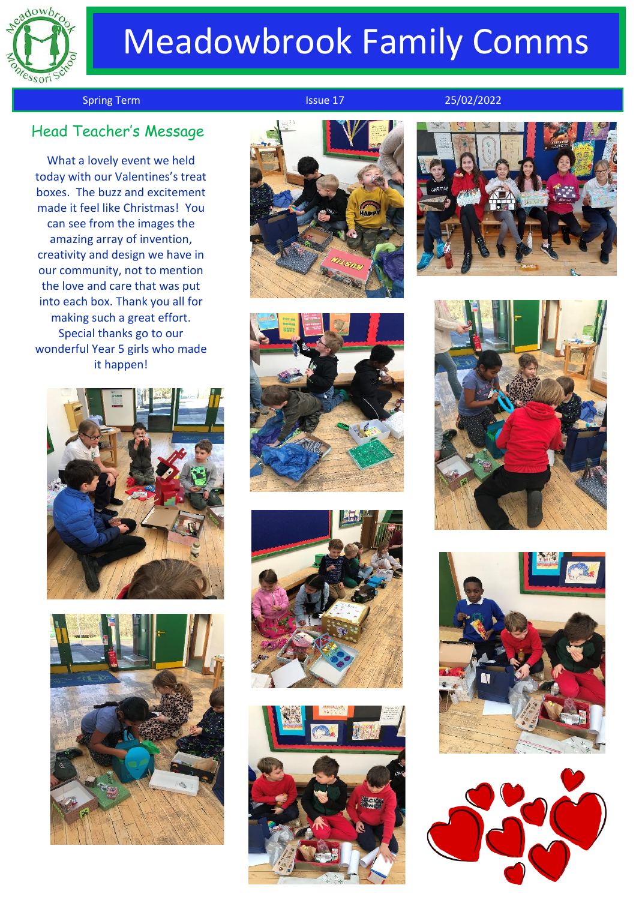

# Meadowbrook Family Comms

Spring Term Issue 17 25/02/2022

# Head Teacher's Messag<sup>e</sup>

What a lovely event we held today with our Valentines's treat boxes. The buzz and excitement made it feel like Christmas! You can see from the images the amazing array of invention, creativity and design we have in our community, not to mention the love and care that was put into each box. Thank you all for making such a great effort. Special thanks go to our wonderful Year 5 girls who made it happen!